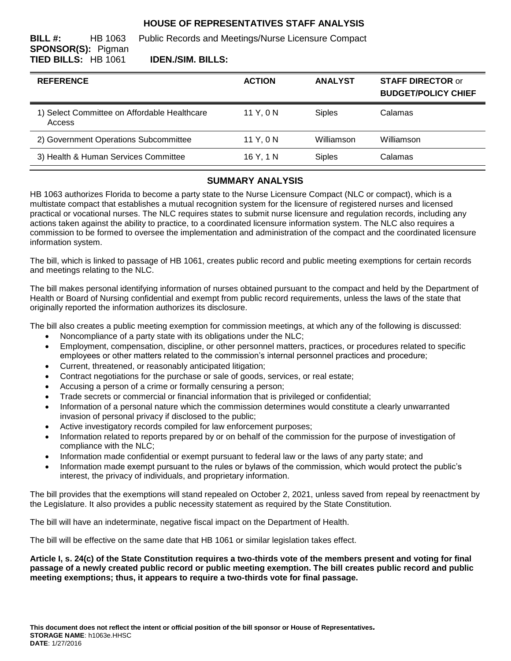# **HOUSE OF REPRESENTATIVES STAFF ANALYSIS**

**BILL #:** HB 1063 Public Records and Meetings/Nurse Licensure Compact **SPONSOR(S):** Pigman **TIED BILLS:** HB 1061 **IDEN./SIM. BILLS:**

# **REFERENCE ACTION ANALYST STAFF DIRECTOR** or **BUDGET/POLICY CHIEF** 1) Select Committee on Affordable Healthcare Access 11 Y, 0 N Siples Calamas 2) Government Operations Subcommittee 11 Y, 0 N Williamson Williamson 3) Health & Human Services Committee 16 Y, 1 N Siples Calamas

### **SUMMARY ANALYSIS**

HB 1063 authorizes Florida to become a party state to the Nurse Licensure Compact (NLC or compact), which is a multistate compact that establishes a mutual recognition system for the licensure of registered nurses and licensed practical or vocational nurses. The NLC requires states to submit nurse licensure and regulation records, including any actions taken against the ability to practice, to a coordinated licensure information system. The NLC also requires a commission to be formed to oversee the implementation and administration of the compact and the coordinated licensure information system.

The bill, which is linked to passage of HB 1061, creates public record and public meeting exemptions for certain records and meetings relating to the NLC.

The bill makes personal identifying information of nurses obtained pursuant to the compact and held by the Department of Health or Board of Nursing confidential and exempt from public record requirements, unless the laws of the state that originally reported the information authorizes its disclosure.

The bill also creates a public meeting exemption for commission meetings, at which any of the following is discussed:

- Noncompliance of a party state with its obligations under the NLC;
- Employment, compensation, discipline, or other personnel matters, practices, or procedures related to specific employees or other matters related to the commission's internal personnel practices and procedure;
- Current, threatened, or reasonably anticipated litigation;
- Contract negotiations for the purchase or sale of goods, services, or real estate;
- Accusing a person of a crime or formally censuring a person;
- Trade secrets or commercial or financial information that is privileged or confidential;
- Information of a personal nature which the commission determines would constitute a clearly unwarranted invasion of personal privacy if disclosed to the public;
- Active investigatory records compiled for law enforcement purposes;
- Information related to reports prepared by or on behalf of the commission for the purpose of investigation of compliance with the NLC;
- Information made confidential or exempt pursuant to federal law or the laws of any party state; and
- Information made exempt pursuant to the rules or bylaws of the commission, which would protect the public's interest, the privacy of individuals, and proprietary information.

The bill provides that the exemptions will stand repealed on October 2, 2021, unless saved from repeal by reenactment by the Legislature. It also provides a public necessity statement as required by the State Constitution.

The bill will have an indeterminate, negative fiscal impact on the Department of Health.

The bill will be effective on the same date that HB 1061 or similar legislation takes effect.

**Article I, s. 24(c) of the State Constitution requires a two-thirds vote of the members present and voting for final passage of a newly created public record or public meeting exemption. The bill creates public record and public meeting exemptions; thus, it appears to require a two-thirds vote for final passage.**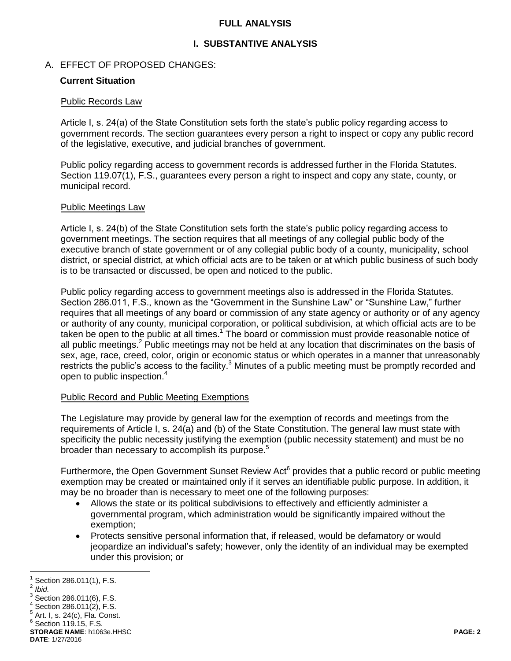## **FULL ANALYSIS**

# **I. SUBSTANTIVE ANALYSIS**

## A. EFFECT OF PROPOSED CHANGES:

## **Current Situation**

#### Public Records Law

Article I, s. 24(a) of the State Constitution sets forth the state's public policy regarding access to government records. The section guarantees every person a right to inspect or copy any public record of the legislative, executive, and judicial branches of government.

Public policy regarding access to government records is addressed further in the Florida Statutes. Section 119.07(1), F.S., guarantees every person a right to inspect and copy any state, county, or municipal record.

### Public Meetings Law

Article I, s. 24(b) of the State Constitution sets forth the state's public policy regarding access to government meetings. The section requires that all meetings of any collegial public body of the executive branch of state government or of any collegial public body of a county, municipality, school district, or special district, at which official acts are to be taken or at which public business of such body is to be transacted or discussed, be open and noticed to the public.

Public policy regarding access to government meetings also is addressed in the Florida Statutes. Section 286.011, F.S., known as the "Government in the Sunshine Law" or "Sunshine Law," further requires that all meetings of any board or commission of any state agency or authority or of any agency or authority of any county, municipal corporation, or political subdivision, at which official acts are to be taken be open to the public at all times.<sup>1</sup> The board or commission must provide reasonable notice of all public meetings.<sup>2</sup> Public meetings may not be held at any location that discriminates on the basis of sex, age, race, creed, color, origin or economic status or which operates in a manner that unreasonably restricts the public's access to the facility.<sup>3</sup> Minutes of a public meeting must be promptly recorded and open to public inspection.<sup>4</sup>

## Public Record and Public Meeting Exemptions

The Legislature may provide by general law for the exemption of records and meetings from the requirements of Article I, s. 24(a) and (b) of the State Constitution. The general law must state with specificity the public necessity justifying the exemption (public necessity statement) and must be no broader than necessary to accomplish its purpose.<sup>5</sup>

Furthermore, the Open Government Sunset Review Act<sup>6</sup> provides that a public record or public meeting exemption may be created or maintained only if it serves an identifiable public purpose. In addition, it may be no broader than is necessary to meet one of the following purposes:

- Allows the state or its political subdivisions to effectively and efficiently administer a governmental program, which administration would be significantly impaired without the exemption;
- Protects sensitive personal information that, if released, would be defamatory or would jeopardize an individual's safety; however, only the identity of an individual may be exempted under this provision; or

 $\overline{a}$ 1 Section 286.011(1), F.S.

<sup>2</sup> *Ibid.*

 $^3$  Section 286.011(6), F.S.

 $4$  Section 286.011(2), F.S.

 $^5$  Art. I, s. 24(c), Fla. Const.

 $6$  Section 119.15, F.S.

**STORAGE NAME**: h1063e.HHSC **PAGE: 2 DATE**: 1/27/2016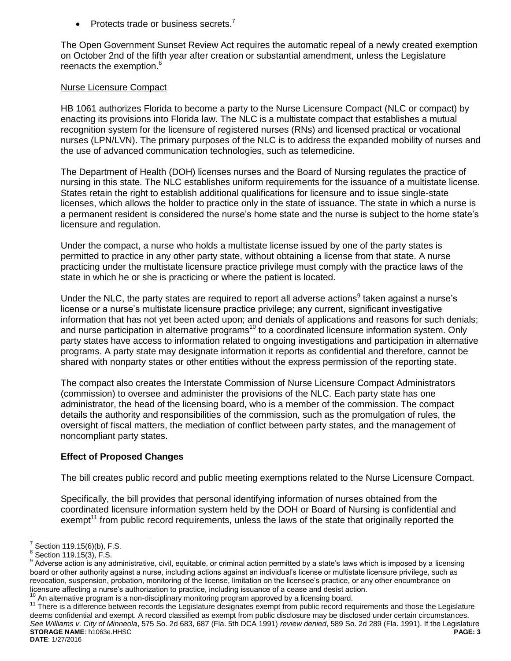• Protects trade or business secrets. $<sup>7</sup>$ </sup>

The Open Government Sunset Review Act requires the automatic repeal of a newly created exemption on October 2nd of the fifth year after creation or substantial amendment, unless the Legislature reenacts the exemption.<sup>8</sup>

#### Nurse Licensure Compact

HB 1061 authorizes Florida to become a party to the Nurse Licensure Compact (NLC or compact) by enacting its provisions into Florida law. The NLC is a multistate compact that establishes a mutual recognition system for the licensure of registered nurses (RNs) and licensed practical or vocational nurses (LPN/LVN). The primary purposes of the NLC is to address the expanded mobility of nurses and the use of advanced communication technologies, such as telemedicine.

The Department of Health (DOH) licenses nurses and the Board of Nursing regulates the practice of nursing in this state. The NLC establishes uniform requirements for the issuance of a multistate license. States retain the right to establish additional qualifications for licensure and to issue single-state licenses, which allows the holder to practice only in the state of issuance. The state in which a nurse is a permanent resident is considered the nurse's home state and the nurse is subject to the home state's licensure and regulation.

Under the compact, a nurse who holds a multistate license issued by one of the party states is permitted to practice in any other party state, without obtaining a license from that state. A nurse practicing under the multistate licensure practice privilege must comply with the practice laws of the state in which he or she is practicing or where the patient is located.

Under the NLC, the party states are required to report all adverse actions<sup>9</sup> taken against a nurse's license or a nurse's multistate licensure practice privilege; any current, significant investigative information that has not yet been acted upon; and denials of applications and reasons for such denials; and nurse participation in alternative programs<sup>10</sup> to a coordinated licensure information system. Only party states have access to information related to ongoing investigations and participation in alternative programs. A party state may designate information it reports as confidential and therefore, cannot be shared with nonparty states or other entities without the express permission of the reporting state.

The compact also creates the Interstate Commission of Nurse Licensure Compact Administrators (commission) to oversee and administer the provisions of the NLC. Each party state has one administrator, the head of the licensing board, who is a member of the commission. The compact details the authority and responsibilities of the commission, such as the promulgation of rules, the oversight of fiscal matters, the mediation of conflict between party states, and the management of noncompliant party states.

## **Effect of Proposed Changes**

The bill creates public record and public meeting exemptions related to the Nurse Licensure Compact.

Specifically, the bill provides that personal identifying information of nurses obtained from the coordinated licensure information system held by the DOH or Board of Nursing is confidential and exempt<sup>11</sup> from public record requirements, unless the laws of the state that originally reported the

 $\overline{a}$ 

**STORAGE NAME**: h1063e.HHSC **PAGE: 3 DATE**: 1/27/2016 <sup>11</sup> There is a difference between records the Legislature designates exempt from public record requirements and those the Legislature deems confidential and exempt. A record classified as exempt from public disclosure may be disclosed under certain circumstances. *See Williams v. City of Minneola*, 575 So. 2d 683, 687 (Fla. 5th DCA 1991) *review denied*, 589 So. 2d 289 (Fla. 1991). If the Legislature

<sup>7</sup> Section 119.15(6)(b), F.S.

 $^8$  Section 119.15(3), F.S.

 $9$  Adverse action is any administrative, civil, equitable, or criminal action permitted by a state's laws which is imposed by a licensing board or other authority against a nurse, including actions against an individual's license or multistate licensure privilege, such as revocation, suspension, probation, monitoring of the license, limitation on the licensee's practice, or any other encumbrance on licensure affecting a nurse's authorization to practice, including issuance of a cease and desist action.<br><sup>10</sup> An elforestive against in a non-disciplinary manifesting against a property allows licensian hoard.

An alternative program is a non-disciplinary monitoring program approved by a licensing board.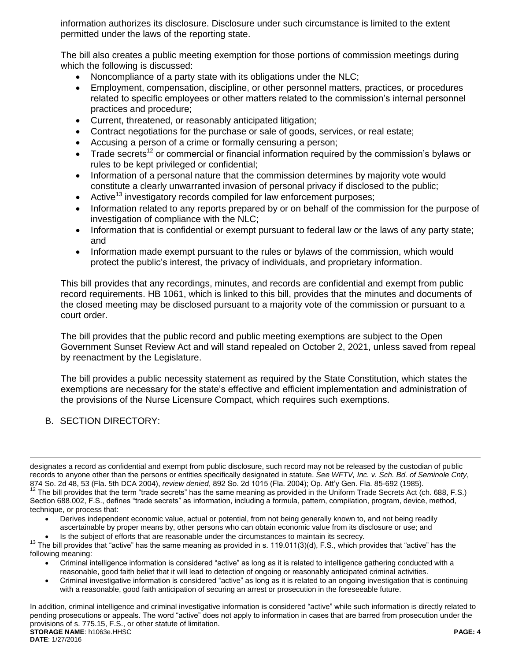information authorizes its disclosure. Disclosure under such circumstance is limited to the extent permitted under the laws of the reporting state.

The bill also creates a public meeting exemption for those portions of commission meetings during which the following is discussed:

- Noncompliance of a party state with its obligations under the NLC;
- Employment, compensation, discipline, or other personnel matters, practices, or procedures related to specific employees or other matters related to the commission's internal personnel practices and procedure;
- Current, threatened, or reasonably anticipated litigation;
- Contract negotiations for the purchase or sale of goods, services, or real estate;
- Accusing a person of a crime or formally censuring a person;
- Trade secrets<sup>12</sup> or commercial or financial information required by the commission's bylaws or rules to be kept privileged or confidential;
- Information of a personal nature that the commission determines by majority vote would constitute a clearly unwarranted invasion of personal privacy if disclosed to the public;
- Active<sup>13</sup> investigatory records compiled for law enforcement purposes;
- Information related to any reports prepared by or on behalf of the commission for the purpose of investigation of compliance with the NLC;
- Information that is confidential or exempt pursuant to federal law or the laws of any party state; and
- Information made exempt pursuant to the rules or bylaws of the commission, which would protect the public's interest, the privacy of individuals, and proprietary information.

This bill provides that any recordings, minutes, and records are confidential and exempt from public record requirements. HB 1061, which is linked to this bill, provides that the minutes and documents of the closed meeting may be disclosed pursuant to a majority vote of the commission or pursuant to a court order.

The bill provides that the public record and public meeting exemptions are subject to the Open Government Sunset Review Act and will stand repealed on October 2, 2021, unless saved from repeal by reenactment by the Legislature.

The bill provides a public necessity statement as required by the State Constitution, which states the exemptions are necessary for the state's effective and efficient implementation and administration of the provisions of the Nurse Licensure Compact, which requires such exemptions.

B. SECTION DIRECTORY:

 $\overline{a}$ 

- Derives independent economic value, actual or potential, from not being generally known to, and not being readily ascertainable by proper means by, other persons who can obtain economic value from its disclosure or use; and
- Is the subject of efforts that are reasonable under the circumstances to maintain its secrecy.

- Criminal intelligence information is considered "active" as long as it is related to intelligence gathering conducted with a reasonable, good faith belief that it will lead to detection of ongoing or reasonably anticipated criminal activities.
- Criminal investigative information is considered "active" as long as it is related to an ongoing investigation that is continuing with a reasonable, good faith anticipation of securing an arrest or prosecution in the foreseeable future.

**STORAGE NAME**: h1063e.HHSC **PAGE: 4 DATE**: 1/27/2016 In addition, criminal intelligence and criminal investigative information is considered "active" while such information is directly related to pending prosecutions or appeals. The word "active" does not apply to information in cases that are barred from prosecution under the provisions of s. 775.15, F.S., or other statute of limitation.

designates a record as confidential and exempt from public disclosure, such record may not be released by the custodian of public records to anyone other than the persons or entities specifically designated in statute. *See WFTV, Inc. v. Sch. Bd. of Seminole Cnty*, 874 So. 2d 48, 53 (Fla. 5th DCA 2004), *review denied*, 892 So. 2d 1015 (Fla. 2004); Op. Att'y Gen. Fla. 85-692 (1985).  $12$  The bill provides that the term "trade secrets" has the same meaning as provided in the Uniform Trade Secrets Act (ch. 688, F.S.) Section 688.002, F.S., defines "trade secrets" as information, including a formula, pattern, compilation, program, device, method, technique, or process that:

 $13$  The bill provides that "active" has the same meaning as provided in s. 119.011(3)(d), F.S., which provides that "active" has the following meaning: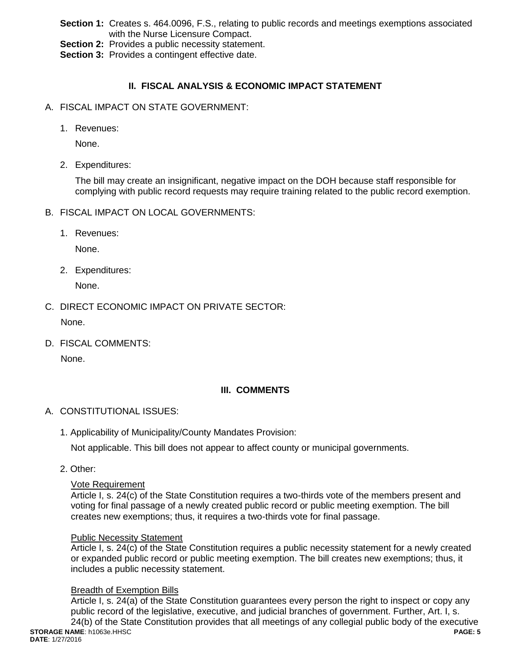- **Section 1:** Creates s. 464.0096, F.S., relating to public records and meetings exemptions associated with the Nurse Licensure Compact.
- **Section 2:** Provides a public necessity statement.
- **Section 3: Provides a contingent effective date.**

# **II. FISCAL ANALYSIS & ECONOMIC IMPACT STATEMENT**

- A. FISCAL IMPACT ON STATE GOVERNMENT:
	- 1. Revenues:

None.

2. Expenditures:

The bill may create an insignificant, negative impact on the DOH because staff responsible for complying with public record requests may require training related to the public record exemption.

- B. FISCAL IMPACT ON LOCAL GOVERNMENTS:
	- 1. Revenues:

None.

2. Expenditures:

None.

C. DIRECT ECONOMIC IMPACT ON PRIVATE SECTOR:

None.

D. FISCAL COMMENTS:

None.

## **III. COMMENTS**

- A. CONSTITUTIONAL ISSUES:
	- 1. Applicability of Municipality/County Mandates Provision:

Not applicable. This bill does not appear to affect county or municipal governments.

2. Other:

#### Vote Requirement

Article I, s. 24(c) of the State Constitution requires a two-thirds vote of the members present and voting for final passage of a newly created public record or public meeting exemption. The bill creates new exemptions; thus, it requires a two-thirds vote for final passage.

#### Public Necessity Statement

Article I, s. 24(c) of the State Constitution requires a public necessity statement for a newly created or expanded public record or public meeting exemption. The bill creates new exemptions; thus, it includes a public necessity statement.

## Breadth of Exemption Bills

Article I, s. 24(a) of the State Constitution guarantees every person the right to inspect or copy any public record of the legislative, executive, and judicial branches of government. Further, Art. I, s. 24(b) of the State Constitution provides that all meetings of any collegial public body of the executive